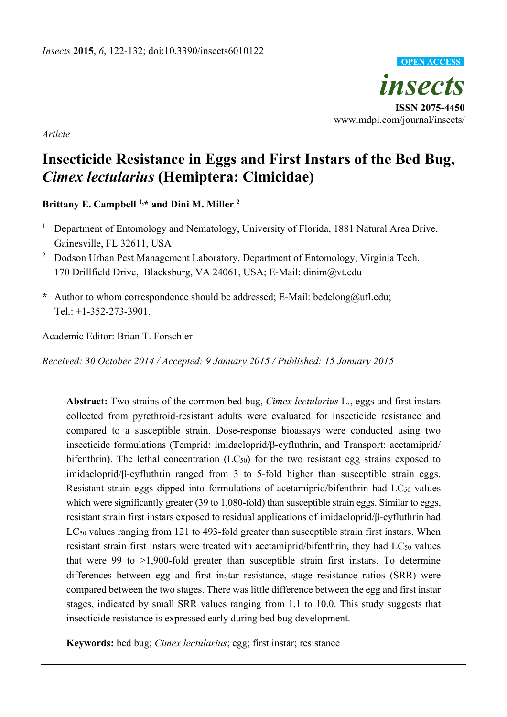

*Article* 

# **Insecticide Resistance in Eggs and First Instars of the Bed Bug,**  *Cimex lectularius* **(Hemiptera: Cimicidae)**

# **Brittany E. Campbell 1,\* and Dini M. Miller 2**

- 1 Department of Entomology and Nematology, University of Florida, 1881 Natural Area Drive, Gainesville, FL 32611, USA
- 2 Dodson Urban Pest Management Laboratory, Department of Entomology, Virginia Tech, 170 Drillfield Drive, Blacksburg, VA 24061, USA; E-Mail: dinim@vt.edu
- **\*** Author to whom correspondence should be addressed; E-Mail: bedelong@ufl.edu; Tel.: +1-352-273-3901.

Academic Editor: Brian T. Forschler

*Received: 30 October 2014 / Accepted: 9 January 2015 / Published: 15 January 2015* 

**Abstract:** Two strains of the common bed bug, *Cimex lectularius* L., eggs and first instars collected from pyrethroid-resistant adults were evaluated for insecticide resistance and compared to a susceptible strain. Dose-response bioassays were conducted using two insecticide formulations (Temprid: imidacloprid/β-cyfluthrin, and Transport: acetamiprid/ bifenthrin). The lethal concentration  $(LC_{50})$  for the two resistant egg strains exposed to imidacloprid/β-cyfluthrin ranged from 3 to 5-fold higher than susceptible strain eggs. Resistant strain eggs dipped into formulations of acetamiprid/bifenthrin had LC<sub>50</sub> values which were significantly greater (39 to 1,080-fold) than susceptible strain eggs. Similar to eggs, resistant strain first instars exposed to residual applications of imidacloprid/β-cyfluthrin had LC<sub>50</sub> values ranging from 121 to 493-fold greater than susceptible strain first instars. When resistant strain first instars were treated with acetamiprid/bifenthrin, they had  $LC_{50}$  values that were 99 to  $>1,900$ -fold greater than susceptible strain first instars. To determine differences between egg and first instar resistance, stage resistance ratios (SRR) were compared between the two stages. There was little difference between the egg and first instar stages, indicated by small SRR values ranging from 1.1 to 10.0. This study suggests that insecticide resistance is expressed early during bed bug development.

**Keywords:** bed bug; *Cimex lectularius*; egg; first instar; resistance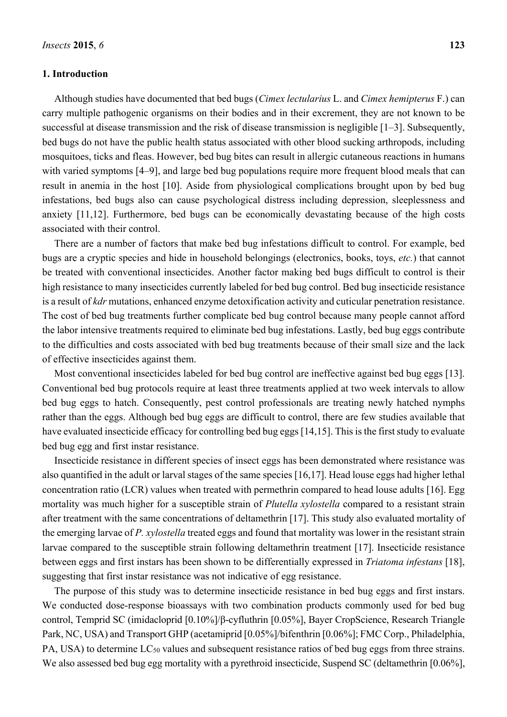# **1. Introduction**

Although studies have documented that bed bugs (*Cimex lectularius* L. and *Cimex hemipterus* F.) can carry multiple pathogenic organisms on their bodies and in their excrement, they are not known to be successful at disease transmission and the risk of disease transmission is negligible [1–3]. Subsequently, bed bugs do not have the public health status associated with other blood sucking arthropods, including mosquitoes, ticks and fleas. However, bed bug bites can result in allergic cutaneous reactions in humans with varied symptoms [4–9], and large bed bug populations require more frequent blood meals that can result in anemia in the host [10]. Aside from physiological complications brought upon by bed bug infestations, bed bugs also can cause psychological distress including depression, sleeplessness and anxiety [11,12]. Furthermore, bed bugs can be economically devastating because of the high costs associated with their control.

There are a number of factors that make bed bug infestations difficult to control. For example, bed bugs are a cryptic species and hide in household belongings (electronics, books, toys, *etc.*) that cannot be treated with conventional insecticides. Another factor making bed bugs difficult to control is their high resistance to many insecticides currently labeled for bed bug control. Bed bug insecticide resistance is a result of *kdr* mutations, enhanced enzyme detoxification activity and cuticular penetration resistance. The cost of bed bug treatments further complicate bed bug control because many people cannot afford the labor intensive treatments required to eliminate bed bug infestations. Lastly, bed bug eggs contribute to the difficulties and costs associated with bed bug treatments because of their small size and the lack of effective insecticides against them.

Most conventional insecticides labeled for bed bug control are ineffective against bed bug eggs [13]. Conventional bed bug protocols require at least three treatments applied at two week intervals to allow bed bug eggs to hatch. Consequently, pest control professionals are treating newly hatched nymphs rather than the eggs. Although bed bug eggs are difficult to control, there are few studies available that have evaluated insecticide efficacy for controlling bed bug eggs [14,15]. This is the first study to evaluate bed bug egg and first instar resistance.

Insecticide resistance in different species of insect eggs has been demonstrated where resistance was also quantified in the adult or larval stages of the same species [16,17]. Head louse eggs had higher lethal concentration ratio (LCR) values when treated with permethrin compared to head louse adults [16]. Egg mortality was much higher for a susceptible strain of *Plutella xylostella* compared to a resistant strain after treatment with the same concentrations of deltamethrin [17]. This study also evaluated mortality of the emerging larvae of *P. xylostella* treated eggs and found that mortality was lower in the resistant strain larvae compared to the susceptible strain following deltamethrin treatment [17]. Insecticide resistance between eggs and first instars has been shown to be differentially expressed in *Triatoma infestans* [18], suggesting that first instar resistance was not indicative of egg resistance.

The purpose of this study was to determine insecticide resistance in bed bug eggs and first instars. We conducted dose-response bioassays with two combination products commonly used for bed bug control, Temprid SC (imidacloprid [0.10%]/β-cyfluthrin [0.05%], Bayer CropScience, Research Triangle Park, NC, USA) and Transport GHP (acetamiprid [0.05%]/bifenthrin [0.06%]; FMC Corp., Philadelphia, PA, USA) to determine LC<sub>50</sub> values and subsequent resistance ratios of bed bug eggs from three strains. We also assessed bed bug egg mortality with a pyrethroid insecticide, Suspend SC (deltamethrin [0.06%],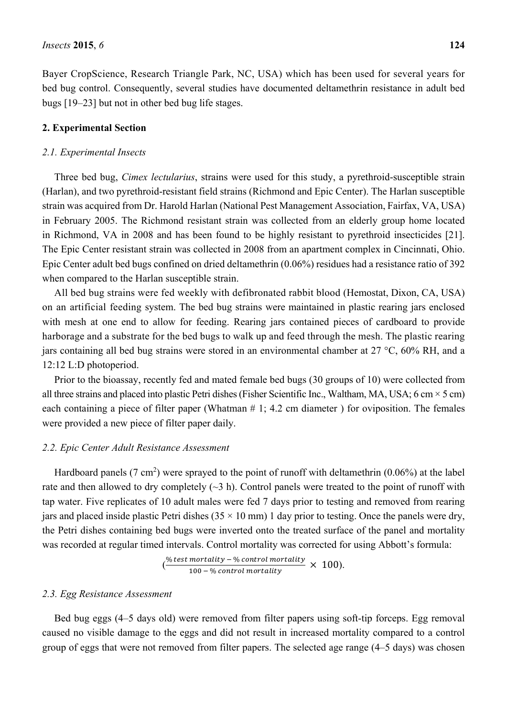Bayer CropScience, Research Triangle Park, NC, USA) which has been used for several years for bed bug control. Consequently, several studies have documented deltamethrin resistance in adult bed bugs [19–23] but not in other bed bug life stages.

## **2. Experimental Section**

#### *2.1. Experimental Insects*

Three bed bug, *Cimex lectularius*, strains were used for this study, a pyrethroid-susceptible strain (Harlan), and two pyrethroid-resistant field strains (Richmond and Epic Center). The Harlan susceptible strain was acquired from Dr. Harold Harlan (National Pest Management Association, Fairfax, VA, USA) in February 2005. The Richmond resistant strain was collected from an elderly group home located in Richmond, VA in 2008 and has been found to be highly resistant to pyrethroid insecticides [21]. The Epic Center resistant strain was collected in 2008 from an apartment complex in Cincinnati, Ohio. Epic Center adult bed bugs confined on dried deltamethrin (0.06%) residues had a resistance ratio of 392 when compared to the Harlan susceptible strain.

All bed bug strains were fed weekly with defibronated rabbit blood (Hemostat, Dixon, CA, USA) on an artificial feeding system. The bed bug strains were maintained in plastic rearing jars enclosed with mesh at one end to allow for feeding. Rearing jars contained pieces of cardboard to provide harborage and a substrate for the bed bugs to walk up and feed through the mesh. The plastic rearing jars containing all bed bug strains were stored in an environmental chamber at 27 °C, 60% RH, and a 12:12 L:D photoperiod.

Prior to the bioassay, recently fed and mated female bed bugs (30 groups of 10) were collected from all three strains and placed into plastic Petri dishes (Fisher Scientific Inc., Waltham, MA, USA; 6 cm  $\times$  5 cm) each containing a piece of filter paper (Whatman  $# 1$ ; 4.2 cm diameter) for oviposition. The females were provided a new piece of filter paper daily.

# *2.2. Epic Center Adult Resistance Assessment*

Hardboard panels (7 cm<sup>2</sup>) were sprayed to the point of runoff with deltamethrin (0.06%) at the label rate and then allowed to dry completely  $(\sim 3 \text{ h})$ . Control panels were treated to the point of runoff with tap water. Five replicates of 10 adult males were fed 7 days prior to testing and removed from rearing jars and placed inside plastic Petri dishes ( $35 \times 10$  mm) 1 day prior to testing. Once the panels were dry, the Petri dishes containing bed bugs were inverted onto the treated surface of the panel and mortality was recorded at regular timed intervals. Control mortality was corrected for using Abbott's formula:

$$
\left(\frac{\% \text{ test mortality} - \% \text{ control mortality}}{100 - \% \text{ control mortality}} \times 100\right).
$$

## *2.3. Egg Resistance Assessment*

Bed bug eggs (4–5 days old) were removed from filter papers using soft-tip forceps. Egg removal caused no visible damage to the eggs and did not result in increased mortality compared to a control group of eggs that were not removed from filter papers. The selected age range (4–5 days) was chosen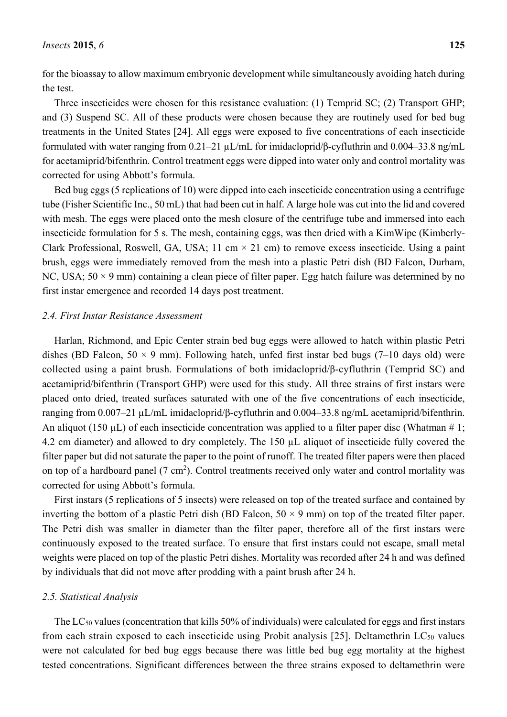for the bioassay to allow maximum embryonic development while simultaneously avoiding hatch during the test.

Three insecticides were chosen for this resistance evaluation: (1) Temprid SC; (2) Transport GHP; and (3) Suspend SC. All of these products were chosen because they are routinely used for bed bug treatments in the United States [24]. All eggs were exposed to five concentrations of each insecticide formulated with water ranging from 0.21–21 µL/mL for imidacloprid/β-cyfluthrin and 0.004–33.8 ng/mL for acetamiprid/bifenthrin. Control treatment eggs were dipped into water only and control mortality was corrected for using Abbott's formula.

Bed bug eggs (5 replications of 10) were dipped into each insecticide concentration using a centrifuge tube (Fisher Scientific Inc., 50 mL) that had been cut in half. A large hole was cut into the lid and covered with mesh. The eggs were placed onto the mesh closure of the centrifuge tube and immersed into each insecticide formulation for 5 s. The mesh, containing eggs, was then dried with a KimWipe (Kimberly-Clark Professional, Roswell, GA, USA; 11 cm  $\times$  21 cm) to remove excess insecticide. Using a paint brush, eggs were immediately removed from the mesh into a plastic Petri dish (BD Falcon, Durham, NC, USA;  $50 \times 9$  mm) containing a clean piece of filter paper. Egg hatch failure was determined by no first instar emergence and recorded 14 days post treatment.

# *2.4. First Instar Resistance Assessment*

Harlan, Richmond, and Epic Center strain bed bug eggs were allowed to hatch within plastic Petri dishes (BD Falcon,  $50 \times 9$  mm). Following hatch, unfed first instar bed bugs (7–10 days old) were collected using a paint brush. Formulations of both imidacloprid/β-cyfluthrin (Temprid SC) and acetamiprid/bifenthrin (Transport GHP) were used for this study. All three strains of first instars were placed onto dried, treated surfaces saturated with one of the five concentrations of each insecticide, ranging from 0.007–21 µL/mL imidacloprid/β-cyfluthrin and 0.004–33.8 ng/mL acetamiprid/bifenthrin. An aliquot (150  $\mu$ L) of each insecticide concentration was applied to a filter paper disc (Whatman # 1; 4.2 cm diameter) and allowed to dry completely. The 150 µL aliquot of insecticide fully covered the filter paper but did not saturate the paper to the point of runoff. The treated filter papers were then placed on top of a hardboard panel  $(7 \text{ cm}^2)$ . Control treatments received only water and control mortality was corrected for using Abbott's formula.

First instars (5 replications of 5 insects) were released on top of the treated surface and contained by inverting the bottom of a plastic Petri dish (BD Falcon,  $50 \times 9$  mm) on top of the treated filter paper. The Petri dish was smaller in diameter than the filter paper, therefore all of the first instars were continuously exposed to the treated surface. To ensure that first instars could not escape, small metal weights were placed on top of the plastic Petri dishes. Mortality was recorded after 24 h and was defined by individuals that did not move after prodding with a paint brush after 24 h.

## *2.5. Statistical Analysis*

The  $LC_{50}$  values (concentration that kills 50% of individuals) were calculated for eggs and first instars from each strain exposed to each insecticide using Probit analysis [25]. Deltamethrin LC<sub>50</sub> values were not calculated for bed bug eggs because there was little bed bug egg mortality at the highest tested concentrations. Significant differences between the three strains exposed to deltamethrin were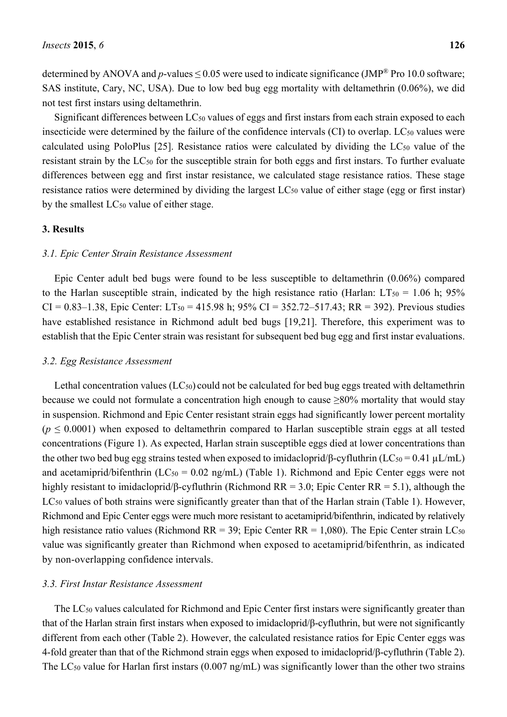determined by ANOVA and *p*-values  $\leq$  0.05 were used to indicate significance (JMP<sup>®</sup> Pro 10.0 software; SAS institute, Cary, NC, USA). Due to low bed bug egg mortality with deltamethrin (0.06%), we did not test first instars using deltamethrin.

Significant differences between LC<sub>50</sub> values of eggs and first instars from each strain exposed to each insecticide were determined by the failure of the confidence intervals  $(CI)$  to overlap. LC<sub>50</sub> values were calculated using PoloPlus [25]. Resistance ratios were calculated by dividing the LC50 value of the resistant strain by the  $LC_{50}$  for the susceptible strain for both eggs and first instars. To further evaluate differences between egg and first instar resistance, we calculated stage resistance ratios. These stage resistance ratios were determined by dividing the largest LC<sub>50</sub> value of either stage (egg or first instar) by the smallest  $LC_{50}$  value of either stage.

## **3. Results**

#### *3.1. Epic Center Strain Resistance Assessment*

Epic Center adult bed bugs were found to be less susceptible to deltamethrin (0.06%) compared to the Harlan susceptible strain, indicated by the high resistance ratio (Harlan:  $LT_{50} = 1.06$  h; 95%  $CI = 0.83 - 1.38$ , Epic Center:  $LT_{50} = 415.98$  h;  $95\%$   $CI = 352.72 - 517.43$ ; RR = 392). Previous studies have established resistance in Richmond adult bed bugs [19,21]. Therefore, this experiment was to establish that the Epic Center strain was resistant for subsequent bed bug egg and first instar evaluations.

# *3.2. Egg Resistance Assessment*

Lethal concentration values  $(LC_{50})$  could not be calculated for bed bug eggs treated with deltamethrin because we could not formulate a concentration high enough to cause ≥80% mortality that would stay in suspension. Richmond and Epic Center resistant strain eggs had significantly lower percent mortality  $(p \le 0.0001)$  when exposed to deltamethrin compared to Harlan susceptible strain eggs at all tested concentrations (Figure 1). As expected, Harlan strain susceptible eggs died at lower concentrations than the other two bed bug egg strains tested when exposed to imidacloprid/β-cyfluthrin (LC<sub>50</sub> = 0.41  $\mu$ L/mL) and acetamiprid/bifenthrin ( $LC_{50} = 0.02$  ng/mL) (Table 1). Richmond and Epic Center eggs were not highly resistant to imidacloprid/β-cyfluthrin (Richmond RR = 3.0; Epic Center RR = 5.1), although the LC<sub>50</sub> values of both strains were significantly greater than that of the Harlan strain (Table 1). However, Richmond and Epic Center eggs were much more resistant to acetamiprid/bifenthrin, indicated by relatively high resistance ratio values (Richmond RR = 39; Epic Center RR = 1,080). The Epic Center strain LC<sub>50</sub> value was significantly greater than Richmond when exposed to acetamiprid/bifenthrin, as indicated by non-overlapping confidence intervals.

#### *3.3. First Instar Resistance Assessment*

The  $LC_{50}$  values calculated for Richmond and Epic Center first instars were significantly greater than that of the Harlan strain first instars when exposed to imidacloprid/β-cyfluthrin, but were not significantly different from each other (Table 2). However, the calculated resistance ratios for Epic Center eggs was 4-fold greater than that of the Richmond strain eggs when exposed to imidacloprid/β-cyfluthrin (Table 2). The LC<sub>50</sub> value for Harlan first instars  $(0.007 \text{ ng/mL})$  was significantly lower than the other two strains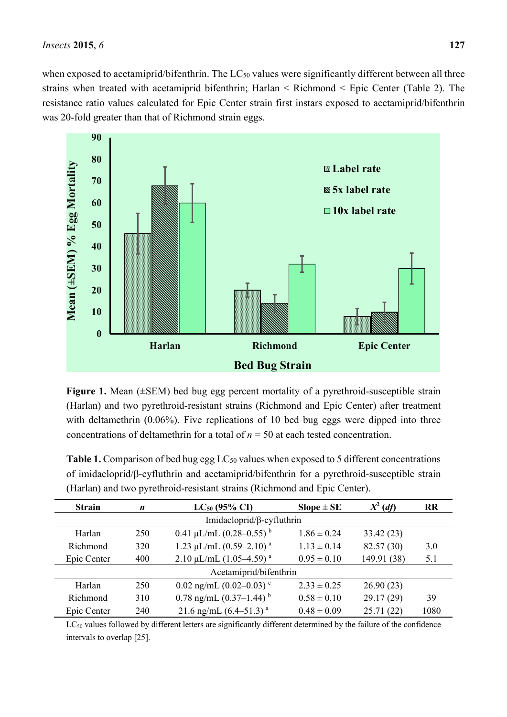when exposed to acetamiprid/bifenthrin. The LC<sub>50</sub> values were significantly different between all three strains when treated with acetamiprid bifenthrin; Harlan < Richmond < Epic Center (Table 2). The resistance ratio values calculated for Epic Center strain first instars exposed to acetamiprid/bifenthrin was 20-fold greater than that of Richmond strain eggs.



**Figure 1.** Mean ( $\pm$ SEM) bed bug egg percent mortality of a pyrethroid-susceptible strain (Harlan) and two pyrethroid-resistant strains (Richmond and Epic Center) after treatment with deltamethrin (0.06%). Five replications of 10 bed bug eggs were dipped into three concentrations of deltamethrin for a total of *n* = 50 at each tested concentration.

| <b>Strain</b> | n   | $LC_{50}$ (95% CI)                       | $Slope \pm SE$  | $X^2$ (df)  | <b>RR</b> |
|---------------|-----|------------------------------------------|-----------------|-------------|-----------|
|               |     | Imidacloprid/ $\beta$ -cyfluthrin        |                 |             |           |
| Harlan        | 250 | 0.41 µL/mL $(0.28-0.55)^{b}$             | $1.86 \pm 0.24$ | 33.42(23)   |           |
| Richmond      | 320 | 1.23 µL/mL $(0.59-2.10)^{a}$             | $1.13 \pm 0.14$ | 82.57 (30)  | 3.0       |
| Epic Center   | 400 | $2.10 \mu L/mL$ (1.05–4.59) <sup>a</sup> | $0.95 \pm 0.10$ | 149.91 (38) | 5.1       |
|               |     | Acetamiprid/bifenthrin                   |                 |             |           |
| Harlan        | 250 | 0.02 ng/mL $(0.02-0.03)$ <sup>c</sup>    | $2.33 \pm 0.25$ | 26.90(23)   |           |
| Richmond      | 310 | 0.78 ng/mL $(0.37-1.44)$ <sup>b</sup>    | $0.58 \pm 0.10$ | 29.17(29)   | 39        |
| Epic Center   | 240 | 21.6 ng/mL $(6.4-51.3)$ <sup>a</sup>     | $0.48 \pm 0.09$ | 25.71(22)   | 1080      |

**Table 1.** Comparison of bed bug egg LC<sub>50</sub> values when exposed to 5 different concentrations of imidacloprid/β-cyfluthrin and acetamiprid/bifenthrin for a pyrethroid-susceptible strain (Harlan) and two pyrethroid-resistant strains (Richmond and Epic Center).

 $LC_{50}$  values followed by different letters are significantly different determined by the failure of the confidence intervals to overlap [25].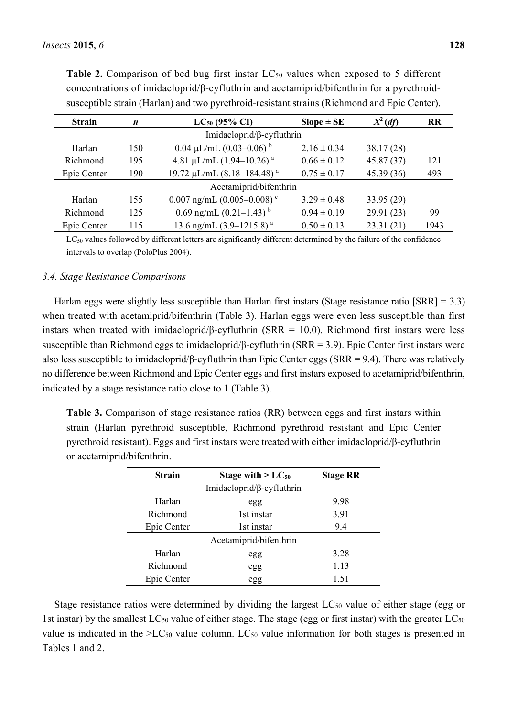| <b>Strain</b>          | n                                 | $LC_{50}$ (95% CI)                       | $Slope \pm SE$  | $X^2$ (df) | <b>RR</b> |  |  |
|------------------------|-----------------------------------|------------------------------------------|-----------------|------------|-----------|--|--|
|                        | Imidacloprid/ $\beta$ -cyfluthrin |                                          |                 |            |           |  |  |
| Harlan                 | 150                               | 0.04 $\mu$ L/mL (0.03–0.06) <sup>b</sup> | $2.16 \pm 0.34$ | 38.17(28)  |           |  |  |
| Richmond               | 195                               | 4.81 µL/mL $(1.94-10.26)$ <sup>a</sup>   | $0.66 \pm 0.12$ | 45.87 (37) | 121       |  |  |
| Epic Center            | 190                               | 19.72 µL/mL $(8.18-184.48)^a$            | $0.75 \pm 0.17$ | 45.39(36)  | 493       |  |  |
| Acetamiprid/bifenthrin |                                   |                                          |                 |            |           |  |  |
| Harlan                 | 155                               | 0.007 ng/mL $(0.005-0.008)$ °            | $3.29 \pm 0.48$ | 33.95(29)  |           |  |  |
| Richmond               | 125                               | 0.69 ng/mL $(0.21-1.43)$ <sup>b</sup>    | $0.94 \pm 0.19$ | 29.91 (23) | 99        |  |  |
| Epic Center            | 115                               | 13.6 ng/mL $(3.9-1215.8)^a$              | $0.50 \pm 0.13$ | 23.31(21)  | 1943      |  |  |

**Table 2.** Comparison of bed bug first instar LC<sub>50</sub> values when exposed to 5 different concentrations of imidacloprid/β-cyfluthrin and acetamiprid/bifenthrin for a pyrethroidsusceptible strain (Harlan) and two pyrethroid-resistant strains (Richmond and Epic Center).

 $LC_{50}$  values followed by different letters are significantly different determined by the failure of the confidence intervals to overlap (PoloPlus 2004).

# *3.4. Stage Resistance Comparisons*

Harlan eggs were slightly less susceptible than Harlan first instars (Stage resistance ratio  $|SRR| = 3.3$ ) when treated with acetamiprid/bifenthrin (Table 3). Harlan eggs were even less susceptible than first instars when treated with imidacloprid/β-cyfluthrin (SRR = 10.0). Richmond first instars were less susceptible than Richmond eggs to imidacloprid/β-cyfluthrin (SRR = 3.9). Epic Center first instars were also less susceptible to imidacloprid/β-cyfluthrin than Epic Center eggs (SRR = 9.4). There was relatively no difference between Richmond and Epic Center eggs and first instars exposed to acetamiprid/bifenthrin, indicated by a stage resistance ratio close to 1 (Table 3).

**Table 3.** Comparison of stage resistance ratios (RR) between eggs and first instars within strain (Harlan pyrethroid susceptible, Richmond pyrethroid resistant and Epic Center pyrethroid resistant). Eggs and first instars were treated with either imidacloprid/β-cyfluthrin or acetamiprid/bifenthrin.

| <b>Strain</b>                     | Stage with $> LC_{50}$ | <b>Stage RR</b> |  |  |
|-----------------------------------|------------------------|-----------------|--|--|
| Imidacloprid/ $\beta$ -cyfluthrin |                        |                 |  |  |
| Harlan                            | egg                    | 9.98            |  |  |
| Richmond                          | 1st instar             | 3.91            |  |  |
| Epic Center                       | 1st instar             | 9.4             |  |  |
|                                   | Acetamiprid/bifenthrin |                 |  |  |
| Harlan                            | egg                    | 3.28            |  |  |
| Richmond                          | egg                    | 1.13            |  |  |
| Epic Center                       | egg                    | 1.51            |  |  |

Stage resistance ratios were determined by dividing the largest LC<sub>50</sub> value of either stage (egg or 1st instar) by the smallest  $LC_{50}$  value of either stage. The stage (egg or first instar) with the greater  $LC_{50}$ value is indicated in the  $\geq LC_{50}$  value column.  $LC_{50}$  value information for both stages is presented in Tables 1 and 2.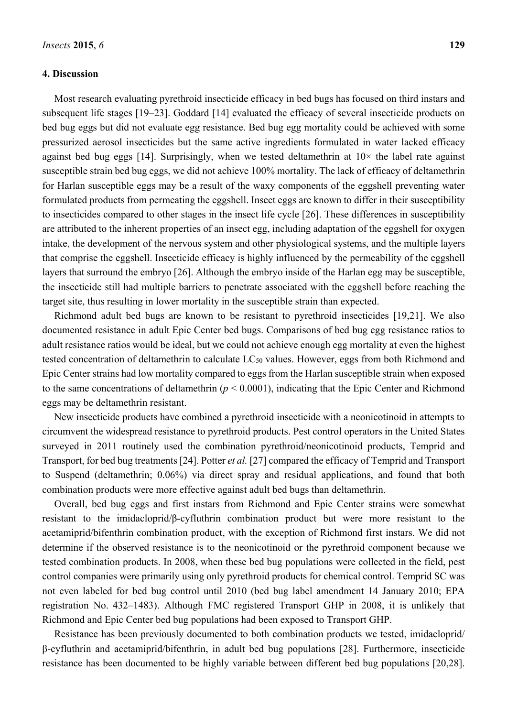## **4. Discussion**

Most research evaluating pyrethroid insecticide efficacy in bed bugs has focused on third instars and subsequent life stages [19–23]. Goddard [14] evaluated the efficacy of several insecticide products on bed bug eggs but did not evaluate egg resistance. Bed bug egg mortality could be achieved with some pressurized aerosol insecticides but the same active ingredients formulated in water lacked efficacy against bed bug eggs [14]. Surprisingly, when we tested deltamethrin at  $10\times$  the label rate against susceptible strain bed bug eggs, we did not achieve 100% mortality. The lack of efficacy of deltamethrin for Harlan susceptible eggs may be a result of the waxy components of the eggshell preventing water formulated products from permeating the eggshell. Insect eggs are known to differ in their susceptibility to insecticides compared to other stages in the insect life cycle [26]. These differences in susceptibility are attributed to the inherent properties of an insect egg, including adaptation of the eggshell for oxygen intake, the development of the nervous system and other physiological systems, and the multiple layers that comprise the eggshell. Insecticide efficacy is highly influenced by the permeability of the eggshell layers that surround the embryo [26]. Although the embryo inside of the Harlan egg may be susceptible, the insecticide still had multiple barriers to penetrate associated with the eggshell before reaching the target site, thus resulting in lower mortality in the susceptible strain than expected.

Richmond adult bed bugs are known to be resistant to pyrethroid insecticides [19,21]. We also documented resistance in adult Epic Center bed bugs. Comparisons of bed bug egg resistance ratios to adult resistance ratios would be ideal, but we could not achieve enough egg mortality at even the highest tested concentration of deltamethrin to calculate LC<sub>50</sub> values. However, eggs from both Richmond and Epic Center strains had low mortality compared to eggs from the Harlan susceptible strain when exposed to the same concentrations of deltamethrin (*p* < 0.0001), indicating that the Epic Center and Richmond eggs may be deltamethrin resistant.

New insecticide products have combined a pyrethroid insecticide with a neonicotinoid in attempts to circumvent the widespread resistance to pyrethroid products. Pest control operators in the United States surveyed in 2011 routinely used the combination pyrethroid/neonicotinoid products, Temprid and Transport, for bed bug treatments [24]. Potter *et al.* [27] compared the efficacy of Temprid and Transport to Suspend (deltamethrin; 0.06%) via direct spray and residual applications, and found that both combination products were more effective against adult bed bugs than deltamethrin.

Overall, bed bug eggs and first instars from Richmond and Epic Center strains were somewhat resistant to the imidacloprid/β-cyfluthrin combination product but were more resistant to the acetamiprid/bifenthrin combination product, with the exception of Richmond first instars. We did not determine if the observed resistance is to the neonicotinoid or the pyrethroid component because we tested combination products. In 2008, when these bed bug populations were collected in the field, pest control companies were primarily using only pyrethroid products for chemical control. Temprid SC was not even labeled for bed bug control until 2010 (bed bug label amendment 14 January 2010; EPA registration No. 432–1483). Although FMC registered Transport GHP in 2008, it is unlikely that Richmond and Epic Center bed bug populations had been exposed to Transport GHP.

Resistance has been previously documented to both combination products we tested, imidacloprid/ β-cyfluthrin and acetamiprid/bifenthrin, in adult bed bug populations [28]. Furthermore, insecticide resistance has been documented to be highly variable between different bed bug populations [20,28].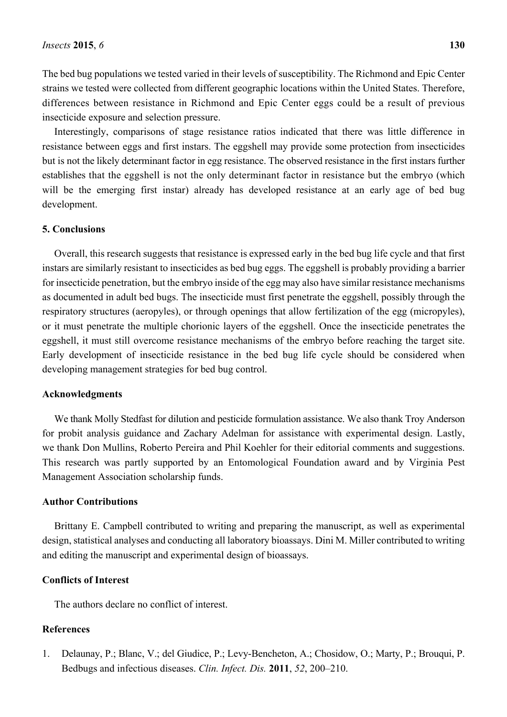The bed bug populations we tested varied in their levels of susceptibility. The Richmond and Epic Center strains we tested were collected from different geographic locations within the United States. Therefore, differences between resistance in Richmond and Epic Center eggs could be a result of previous insecticide exposure and selection pressure.

Interestingly, comparisons of stage resistance ratios indicated that there was little difference in resistance between eggs and first instars. The eggshell may provide some protection from insecticides but is not the likely determinant factor in egg resistance. The observed resistance in the first instars further establishes that the eggshell is not the only determinant factor in resistance but the embryo (which will be the emerging first instar) already has developed resistance at an early age of bed bug development.

# **5. Conclusions**

Overall, this research suggests that resistance is expressed early in the bed bug life cycle and that first instars are similarly resistant to insecticides as bed bug eggs. The eggshell is probably providing a barrier for insecticide penetration, but the embryo inside of the egg may also have similar resistance mechanisms as documented in adult bed bugs. The insecticide must first penetrate the eggshell, possibly through the respiratory structures (aeropyles), or through openings that allow fertilization of the egg (micropyles), or it must penetrate the multiple chorionic layers of the eggshell. Once the insecticide penetrates the eggshell, it must still overcome resistance mechanisms of the embryo before reaching the target site. Early development of insecticide resistance in the bed bug life cycle should be considered when developing management strategies for bed bug control.

#### **Acknowledgments**

We thank Molly Stedfast for dilution and pesticide formulation assistance. We also thank Troy Anderson for probit analysis guidance and Zachary Adelman for assistance with experimental design. Lastly, we thank Don Mullins, Roberto Pereira and Phil Koehler for their editorial comments and suggestions. This research was partly supported by an Entomological Foundation award and by Virginia Pest Management Association scholarship funds.

# **Author Contributions**

Brittany E. Campbell contributed to writing and preparing the manuscript, as well as experimental design, statistical analyses and conducting all laboratory bioassays. Dini M. Miller contributed to writing and editing the manuscript and experimental design of bioassays.

#### **Conflicts of Interest**

The authors declare no conflict of interest.

# **References**

1. Delaunay, P.; Blanc, V.; del Giudice, P.; Levy-Bencheton, A.; Chosidow, O.; Marty, P.; Brouqui, P. Bedbugs and infectious diseases. *Clin. Infect. Dis.* **2011**, *52*, 200–210.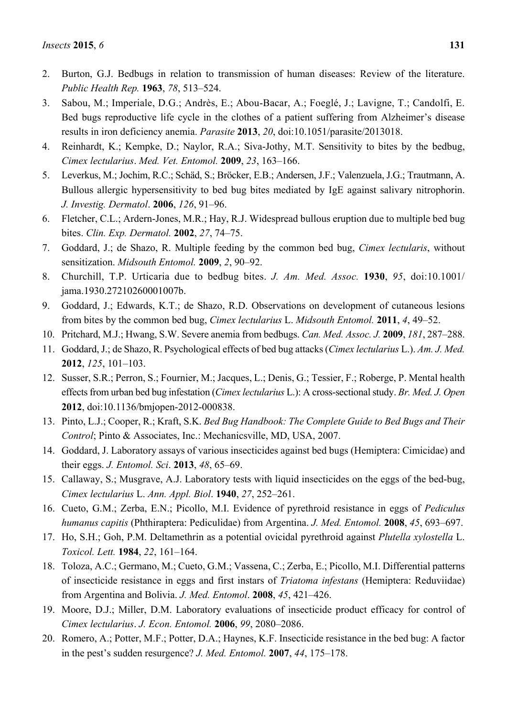- 3. Sabou, M.; Imperiale, D.G.; Andrès, E.; Abou-Bacar, A.; Foeglé, J.; Lavigne, T.; Candolfi, E. Bed bugs reproductive life cycle in the clothes of a patient suffering from Alzheimer's disease results in iron deficiency anemia. *Parasite* **2013**, *20*, doi:10.1051/parasite/2013018.
- 4. Reinhardt, K.; Kempke, D.; Naylor, R.A.; Siva-Jothy, M.T. Sensitivity to bites by the bedbug, *Cimex lectularius*. *Med. Vet. Entomol.* **2009**, *23*, 163–166.
- 5. Leverkus, M.; Jochim, R.C.; Schäd, S.; Bröcker, E.B.; Andersen, J.F.; Valenzuela, J.G.; Trautmann, A. Bullous allergic hypersensitivity to bed bug bites mediated by IgE against salivary nitrophorin. *J. Investig. Dermatol*. **2006**, *126*, 91–96.
- 6. Fletcher, C.L.; Ardern-Jones, M.R.; Hay, R.J. Widespread bullous eruption due to multiple bed bug bites. *Clin. Exp. Dermatol.* **2002**, *27*, 74–75.
- 7. Goddard, J.; de Shazo, R. Multiple feeding by the common bed bug, *Cimex lectularis*, without sensitization. *Midsouth Entomol.* **2009**, *2*, 90–92.
- 8. Churchill, T.P. Urticaria due to bedbug bites. *J. Am. Med. Assoc.* **1930**, *95*, doi:10.1001/ jama.1930.27210260001007b.
- 9. Goddard, J.; Edwards, K.T.; de Shazo, R.D. Observations on development of cutaneous lesions from bites by the common bed bug, *Cimex lectularius* L. *Midsouth Entomol.* **2011**, *4*, 49–52.
- 10. Pritchard, M.J.; Hwang, S.W. Severe anemia from bedbugs. *Can. Med. Assoc. J.* **2009**, *181*, 287–288.
- 11. Goddard, J.; de Shazo, R. Psychological effects of bed bug attacks (*Cimex lectularius* L.). *Am. J. Med.* **2012**, *125*, 101–103.
- 12. Susser, S.R.; Perron, S.; Fournier, M.; Jacques, L.; Denis, G.; Tessier, F.; Roberge, P. Mental health effects from urban bed bug infestation (*Cimex lectularius* L.): A cross-sectional study. *Br. Med. J. Open* **2012**, doi:10.1136/bmjopen-2012-000838.
- 13. Pinto, L.J.; Cooper, R.; Kraft, S.K. *Bed Bug Handbook: The Complete Guide to Bed Bugs and Their Control*; Pinto & Associates, Inc.: Mechanicsville, MD, USA, 2007.
- 14. Goddard, J. Laboratory assays of various insecticides against bed bugs (Hemiptera: Cimicidae) and their eggs. *J. Entomol. Sci*. **2013**, *48*, 65–69.
- 15. Callaway, S.; Musgrave, A.J. Laboratory tests with liquid insecticides on the eggs of the bed-bug, *Cimex lectularius* L. *Ann. Appl. Biol*. **1940**, *27*, 252–261.
- 16. Cueto, G.M.; Zerba, E.N.; Picollo, M.I. Evidence of pyrethroid resistance in eggs of *Pediculus humanus capitis* (Phthiraptera: Pediculidae) from Argentina. *J. Med. Entomol.* **2008**, *45*, 693–697.
- 17. Ho, S.H.; Goh, P.M. Deltamethrin as a potential ovicidal pyrethroid against *Plutella xylostella* L. *Toxicol. Lett.* **1984**, *22*, 161–164.
- 18. Toloza, A.C.; Germano, M.; Cueto, G.M.; Vassena, C.; Zerba, E.; Picollo, M.I. Differential patterns of insecticide resistance in eggs and first instars of *Triatoma infestans* (Hemiptera: Reduviidae) from Argentina and Bolivia. *J. Med. Entomol*. **2008**, *45*, 421–426.
- 19. Moore, D.J.; Miller, D.M. Laboratory evaluations of insecticide product efficacy for control of *Cimex lectularius*. *J. Econ. Entomol.* **2006**, *99*, 2080–2086.
- 20. Romero, A.; Potter, M.F.; Potter, D.A.; Haynes, K.F. Insecticide resistance in the bed bug: A factor in the pest's sudden resurgence? *J. Med. Entomol.* **2007**, *44*, 175–178.